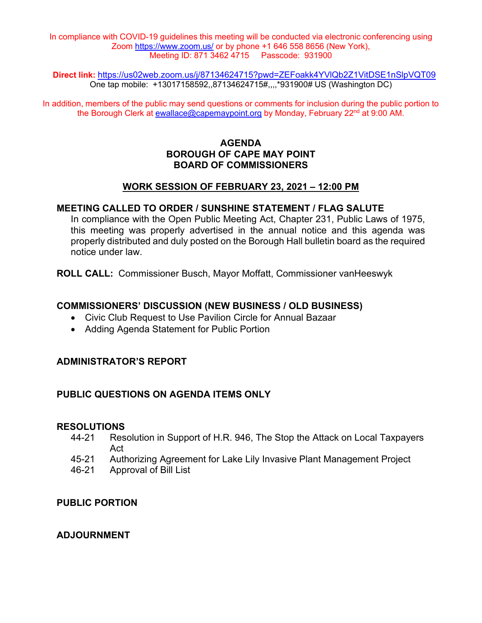In compliance with COVID-19 guidelines this meeting will be conducted via electronic conferencing using Zoom<https://www.zoom.us/> or by phone +1 646 558 8656 (New York), Meeting ID: 871 3462 4715 Passcode: 931900

**Direct link:** <https://us02web.zoom.us/j/87134624715?pwd=ZEFoakk4YVlQb2Z1VitDSE1nSlpVQT09> One tap mobile: +13017158592,,87134624715#,,,,\*931900# US (Washington DC)

In addition, members of the public may send questions or comments for inclusion during the public portion to the Borough Clerk at [ewallace@capemaypoint.org](mailto:ewallace@capemaypoint.org) by Monday, February 22<sup>nd</sup> at 9:00 AM.

## **AGENDA BOROUGH OF CAPE MAY POINT BOARD OF COMMISSIONERS**

#### **WORK SESSION OF FEBRUARY 23, 2021 – 12:00 PM**

#### **MEETING CALLED TO ORDER / SUNSHINE STATEMENT / FLAG SALUTE**

In compliance with the Open Public Meeting Act, Chapter 231, Public Laws of 1975, this meeting was properly advertised in the annual notice and this agenda was properly distributed and duly posted on the Borough Hall bulletin board as the required notice under law.

**ROLL CALL:** Commissioner Busch, Mayor Moffatt, Commissioner vanHeeswyk

#### **COMMISSIONERS' DISCUSSION (NEW BUSINESS / OLD BUSINESS)**

- Civic Club Request to Use Pavilion Circle for Annual Bazaar
- Adding Agenda Statement for Public Portion

#### **ADMINISTRATOR'S REPORT**

#### **PUBLIC QUESTIONS ON AGENDA ITEMS ONLY**

# **RESOLUTIONS**<br>44-21 Res

- Resolution in Support of H.R. 946, The Stop the Attack on Local Taxpayers Act
- 45-21 Authorizing Agreement for Lake Lily Invasive Plant Management Project
- 46-21 Approval of Bill List

#### **PUBLIC PORTION**

### **ADJOURNMENT**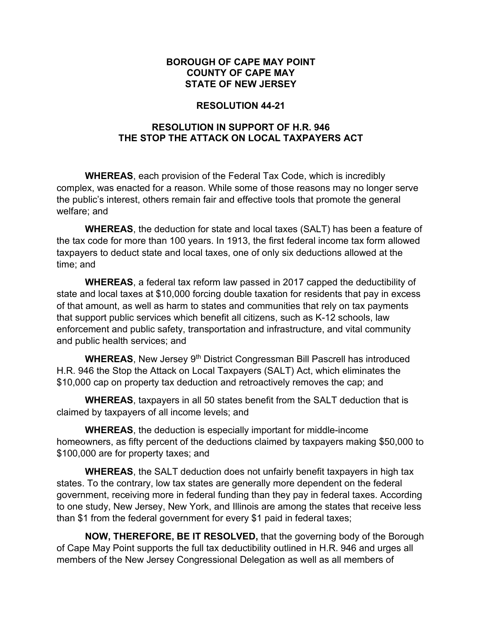#### **BOROUGH OF CAPE MAY POINT COUNTY OF CAPE MAY STATE OF NEW JERSEY**

#### **RESOLUTION 44-21**

## **RESOLUTION IN SUPPORT OF H.R. 946 THE STOP THE ATTACK ON LOCAL TAXPAYERS ACT**

**WHEREAS**, each provision of the Federal Tax Code, which is incredibly complex, was enacted for a reason. While some of those reasons may no longer serve the public's interest, others remain fair and effective tools that promote the general welfare; and

**WHEREAS**, the deduction for state and local taxes (SALT) has been a feature of the tax code for more than 100 years. In 1913, the first federal income tax form allowed taxpayers to deduct state and local taxes, one of only six deductions allowed at the time; and

**WHEREAS**, a federal tax reform law passed in 2017 capped the deductibility of state and local taxes at \$10,000 forcing double taxation for residents that pay in excess of that amount, as well as harm to states and communities that rely on tax payments that support public services which benefit all citizens, such as K-12 schools, law enforcement and public safety, transportation and infrastructure, and vital community and public health services; and

**WHEREAS**, New Jersey 9<sup>th</sup> District Congressman Bill Pascrell has introduced H.R. 946 the Stop the Attack on Local Taxpayers (SALT) Act, which eliminates the \$10,000 cap on property tax deduction and retroactively removes the cap; and

**WHEREAS**, taxpayers in all 50 states benefit from the SALT deduction that is claimed by taxpayers of all income levels; and

**WHEREAS**, the deduction is especially important for middle-income homeowners, as fifty percent of the deductions claimed by taxpayers making \$50,000 to \$100,000 are for property taxes; and

**WHEREAS**, the SALT deduction does not unfairly benefit taxpayers in high tax states. To the contrary, low tax states are generally more dependent on the federal government, receiving more in federal funding than they pay in federal taxes. According to one study, New Jersey, New York, and Illinois are among the states that receive less than \$1 from the federal government for every \$1 paid in federal taxes;

**NOW, THEREFORE, BE IT RESOLVED,** that the governing body of the Borough of Cape May Point supports the full tax deductibility outlined in H.R. 946 and urges all members of the New Jersey Congressional Delegation as well as all members of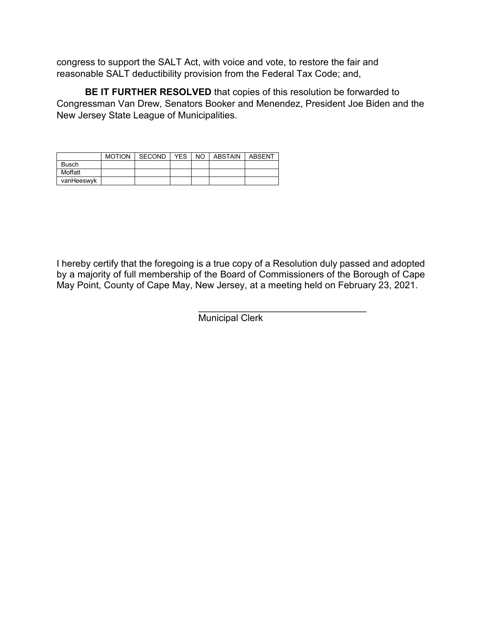congress to support the SALT Act, with voice and vote, to restore the fair and reasonable SALT deductibility provision from the Federal Tax Code; and,

**BE IT FURTHER RESOLVED** that copies of this resolution be forwarded to Congressman Van Drew, Senators Booker and Menendez, President Joe Biden and the New Jersey State League of Municipalities.

|            | <b>MOTION</b> | SECOND | <b>YES</b> | NO I | ABSTAIN I | ABSENT |
|------------|---------------|--------|------------|------|-----------|--------|
| Busch      |               |        |            |      |           |        |
| Moffatt    |               |        |            |      |           |        |
| vanHeeswyk |               |        |            |      |           |        |

I hereby certify that the foregoing is a true copy of a Resolution duly passed and adopted by a majority of full membership of the Board of Commissioners of the Borough of Cape May Point, County of Cape May, New Jersey, at a meeting held on February 23, 2021.

> \_\_\_\_\_\_\_\_\_\_\_\_\_\_\_\_\_\_\_\_\_\_\_\_\_\_\_\_\_\_\_\_ **Municipal Clerk**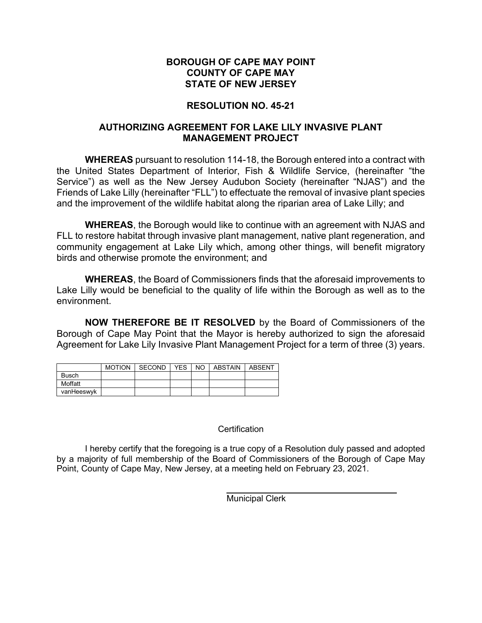#### **BOROUGH OF CAPE MAY POINT COUNTY OF CAPE MAY STATE OF NEW JERSEY**

# **RESOLUTION NO. 45-21**

### **AUTHORIZING AGREEMENT FOR LAKE LILY INVASIVE PLANT MANAGEMENT PROJECT**

**WHEREAS** pursuant to resolution 114-18, the Borough entered into a contract with the United States Department of Interior, Fish & Wildlife Service, (hereinafter "the Service") as well as the New Jersey Audubon Society (hereinafter "NJAS") and the Friends of Lake Lilly (hereinafter "FLL") to effectuate the removal of invasive plant species and the improvement of the wildlife habitat along the riparian area of Lake Lilly; and

**WHEREAS**, the Borough would like to continue with an agreement with NJAS and FLL to restore habitat through invasive plant management, native plant regeneration, and community engagement at Lake Lily which, among other things, will benefit migratory birds and otherwise promote the environment; and

**WHEREAS**, the Board of Commissioners finds that the aforesaid improvements to Lake Lilly would be beneficial to the quality of life within the Borough as well as to the environment.

**NOW THEREFORE BE IT RESOLVED** by the Board of Commissioners of the Borough of Cape May Point that the Mayor is hereby authorized to sign the aforesaid Agreement for Lake Lily Invasive Plant Management Project for a term of three (3) years.

|              | <b>MOTION</b> | SECOND | <b>YES</b> | NO. | ABSTAIN | <b>ABSENT</b> |
|--------------|---------------|--------|------------|-----|---------|---------------|
| <b>Busch</b> |               |        |            |     |         |               |
| Moffatt      |               |        |            |     |         |               |
| vanHeeswyk   |               |        |            |     |         |               |

#### **Certification**

I hereby certify that the foregoing is a true copy of a Resolution duly passed and adopted by a majority of full membership of the Board of Commissioners of the Borough of Cape May Point, County of Cape May, New Jersey, at a meeting held on February 23, 2021.

Municipal Clerk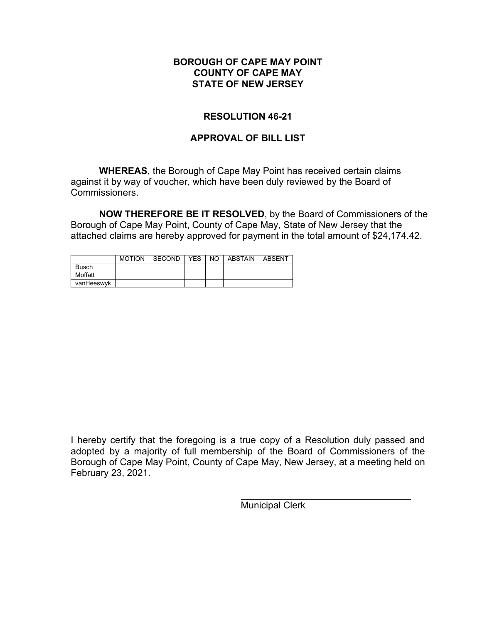#### **BOROUGH OF CAPE MAY POINT COUNTY OF CAPE MAY STATE OF NEW JERSEY**

### **RESOLUTION 46-21**

### **APPROVAL OF BILL LIST**

**WHEREAS**, the Borough of Cape May Point has received certain claims against it by way of voucher, which have been duly reviewed by the Board of Commissioners.

**NOW THEREFORE BE IT RESOLVED**, by the Board of Commissioners of the Borough of Cape May Point, County of Cape May, State of New Jersey that the attached claims are hereby approved for payment in the total amount of \$24,174.42.

|              | <b>MOTION</b> | SECOND | <b>YES</b> | NO. | ABSTAIN | ABSENT |
|--------------|---------------|--------|------------|-----|---------|--------|
| <b>Busch</b> |               |        |            |     |         |        |
| Moffatt      |               |        |            |     |         |        |
| vanHeeswyk   |               |        |            |     |         |        |

I hereby certify that the foregoing is a true copy of a Resolution duly passed and adopted by a majority of full membership of the Board of Commissioners of the Borough of Cape May Point, County of Cape May, New Jersey, at a meeting held on February 23, 2021.

Municipal Clerk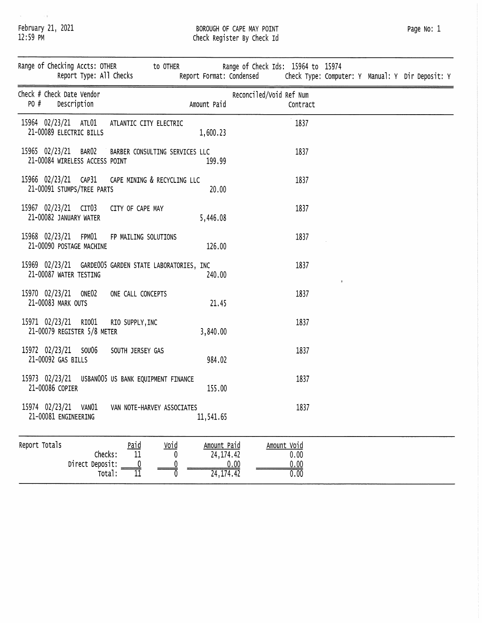$\sim$   $\pm$ February 21, 2021<br>12:59 PM

 $\mathcal{L}$ 

# BOROUGH OF CAPE MAY POINT<br>Check Register By Check Id

| Page No: | 1 |
|----------|---|
|          |   |

|                                                                                       | Report Type: All Checks                        |                                                        | Range of Checking Accts: OTHER to OTHER Range of Check Ids: 15964 to 15974<br>Report Format: Condensed Check Type: Computer: Y Manual: Y Dir Deposit: Y |             |  |
|---------------------------------------------------------------------------------------|------------------------------------------------|--------------------------------------------------------|---------------------------------------------------------------------------------------------------------------------------------------------------------|-------------|--|
| Check # Check Date Vendor<br>PO #<br>Description                                      |                                                | Amount Paid                                            | Reconciled/Void Ref Num<br>Contract                                                                                                                     |             |  |
| 15964 02/23/21 ATL01<br>21-00089 ELECTRIC BILLS                                       | ATLANTIC CITY ELECTRIC                         | 1,600.23                                               | 1837                                                                                                                                                    |             |  |
| 15965 02/23/21 BARO2 BARBER CONSULTING SERVICES LLC<br>21-00084 WIRELESS ACCESS POINT |                                                | 199.99                                                 | 1837                                                                                                                                                    |             |  |
| 15966 02/23/21 CAP31<br>21-00091 STUMPS/TREE PARTS                                    | CAPE MINING & RECYCLING LLC                    | 20.00                                                  | 1837                                                                                                                                                    |             |  |
| 15967 02/23/21 CIT03<br>21-00082 JANUARY WATER                                        | CITY OF CAPE MAY                               | 5,446.08                                               | 1837                                                                                                                                                    |             |  |
| 15968 02/23/21 FPM01<br>21-00090 POSTAGE MACHINE                                      | FP MAILING SOLUTIONS                           | 126.00                                                 | 1837                                                                                                                                                    |             |  |
| 15969 02/23/21 GARDE005 GARDEN STATE LABORATORIES, INC<br>21-00087 WATER TESTING      |                                                | 240.00                                                 | 1837                                                                                                                                                    | $\mathbf g$ |  |
| 15970 02/23/21 ONE02<br>21-00083 MARK OUTS                                            | ONE CALL CONCEPTS                              | 21.45                                                  | 1837                                                                                                                                                    |             |  |
| 15971 02/23/21 RIO01 RIO SUPPLY, INC<br>21-00079 REGISTER 5/8 METER                   |                                                | 3,840.00                                               | 1837                                                                                                                                                    |             |  |
| 15972 02/23/21 SOU06<br>21-00092 GAS BILLS                                            | SOUTH JERSEY GAS                               | 984.02                                                 | 1837                                                                                                                                                    |             |  |
| 15973 02/23/21 USBAN005 US BANK EQUIPMENT FINANCE<br>21-00086 COPIER                  |                                                | 155.00                                                 | 1837                                                                                                                                                    |             |  |
| 15974 02/23/21 VANO1 VAN NOTE-HARVEY ASSOCIATES<br>21-00081 ENGINEERING               |                                                | 11,541.65                                              | 1837                                                                                                                                                    |             |  |
| Report Totals<br>Checks:<br>Direct Deposit:                                           | $rac{\text{Pad}}{11}$<br><u>Void</u><br>Total: | Amount Paid<br>24, 174. 42<br>$\frac{0.00}{24,174.42}$ | Amount Void<br>0.00<br>$\frac{0.00}{0.00}$                                                                                                              |             |  |